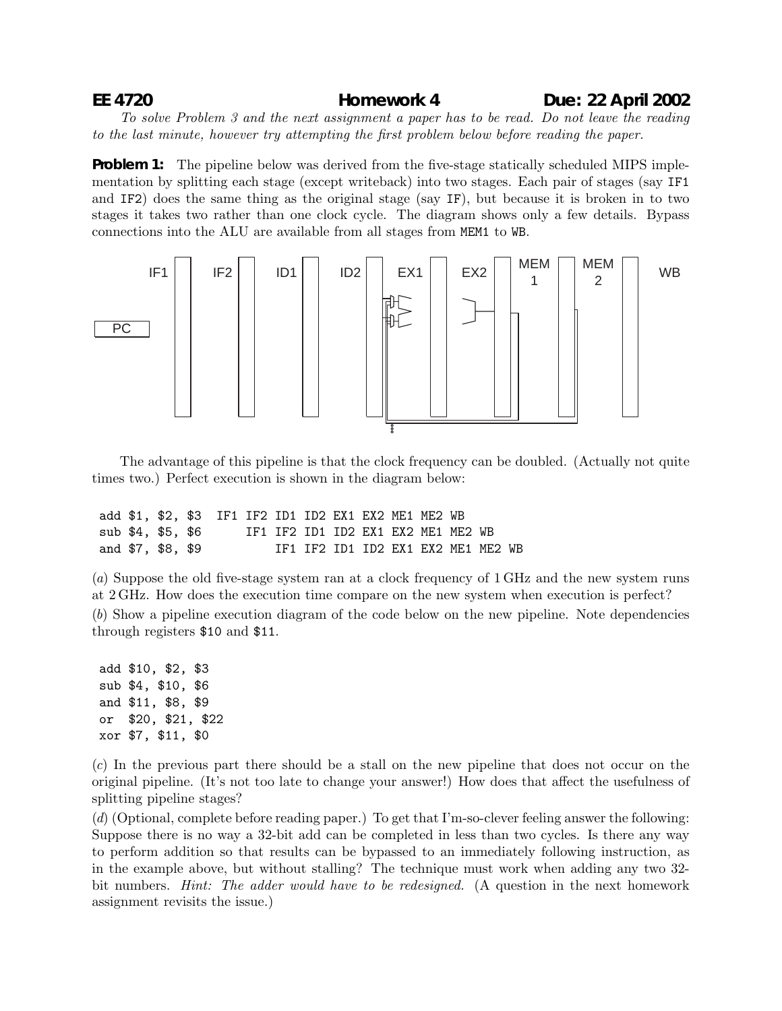## **EE 4720 Homework 4 Due: 22 April 2002**

*To solve Problem 3 and the next assignment a paper has to be read. Do not leave the reading to the last minute, however try attempting the first problem below before reading the paper.*

**Problem 1:** The pipeline below was derived from the five-stage statically scheduled MIPS implementation by splitting each stage (except writeback) into two stages. Each pair of stages (say IF1 and IF2) does the same thing as the original stage (say IF), but because it is broken in to two stages it takes two rather than one clock cycle. The diagram shows only a few details. Bypass connections into the ALU are available from all stages from MEM1 to WB.



The advantage of this pipeline is that the clock frequency can be doubled. (Actually not quite times two.) Perfect execution is shown in the diagram below:

|  |                   | add \$1, \$2, \$3 IF1 IF2 ID1 ID2 EX1 EX2 ME1 ME2 WB |                                    |  |  |  |                                    |  |
|--|-------------------|------------------------------------------------------|------------------------------------|--|--|--|------------------------------------|--|
|  | sub \$4, \$5, \$6 |                                                      | IF1 IF2 ID1 ID2 EX1 EX2 ME1 ME2 WB |  |  |  |                                    |  |
|  | and \$7, \$8, \$9 |                                                      |                                    |  |  |  | IF1 IF2 ID1 ID2 EX1 EX2 ME1 ME2 WB |  |

(*a*) Suppose the old five-stage system ran at a clock frequency of 1 GHz and the new system runs at 2 GHz. How does the execution time compare on the new system when execution is perfect? (*b*) Show a pipeline execution diagram of the code below on the new pipeline. Note dependencies through registers \$10 and \$11.

add \$10, \$2, \$3 sub \$4, \$10, \$6 and \$11, \$8, \$9 or \$20, \$21, \$22 xor \$7, \$11, \$0

(*c*) In the previous part there should be a stall on the new pipeline that does not occur on the original pipeline. (It's not too late to change your answer!) How does that affect the usefulness of splitting pipeline stages?

(*d*) (Optional, complete before reading paper.) To get that I'm-so-clever feeling answer the following: Suppose there is no way a 32-bit add can be completed in less than two cycles. Is there any way to perform addition so that results can be bypassed to an immediately following instruction, as in the example above, but without stalling? The technique must work when adding any two 32 bit numbers. *Hint: The adder would have to be redesigned.* (A question in the next homework assignment revisits the issue.)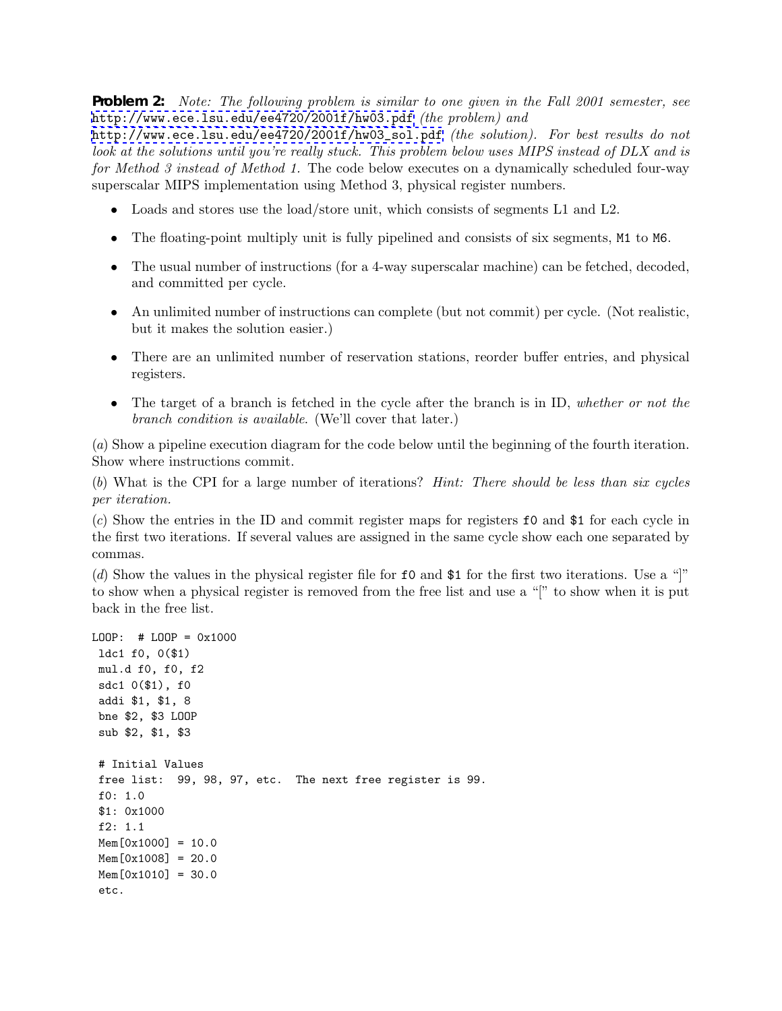**Problem 2:** *Note: The following problem is similar to one given in the Fall 2001 semester, see* <http://www.ece.lsu.edu/ee4720/2001f/hw03.pdf> *(the problem) and*

[http://www.ece.lsu.edu/ee4720/2001f/hw03\\_sol.pdf](http://www.ece.lsu.edu/ee4720/2001f/hw03_sol.pdf) *(the solution). For best results do not look at the solutions until you're really stuck. This problem below uses MIPS instead of DLX and is for Method 3 instead of Method 1.* The code below executes on a dynamically scheduled four-way superscalar MIPS implementation using Method 3, physical register numbers.

- Loads and stores use the load/store unit, which consists of segments L1 and L2.
- The floating-point multiply unit is fully pipelined and consists of six segments, M1 to M6.
- The usual number of instructions (for a 4-way superscalar machine) can be fetched, decoded, and committed per cycle.
- An unlimited number of instructions can complete (but not commit) per cycle. (Not realistic, but it makes the solution easier.)
- There are an unlimited number of reservation stations, reorder buffer entries, and physical registers.
- The target of a branch is fetched in the cycle after the branch is in ID, *whether or not the branch condition is available*. (We'll cover that later.)

(*a*) Show a pipeline execution diagram for the code below until the beginning of the fourth iteration. Show where instructions commit.

(*b*) What is the CPI for a large number of iterations? *Hint: There should be less than six cycles per iteration.*

(*c*) Show the entries in the ID and commit register maps for registers f0 and \$1 for each cycle in the first two iterations. If several values are assigned in the same cycle show each one separated by commas.

(*d*) Show the values in the physical register file for f0 and \$1 for the first two iterations. Use a "]" to show when a physical register is removed from the free list and use a "[" to show when it is put back in the free list.

```
LOOP: # LOOP = 0x1000ldc1 f0, 0($1)
mul.d f0, f0, f2
sdc1 0($1), f0
addi $1, $1, 8
bne $2, $3 LOOP
sub $2, $1, $3
 # Initial Values
 free list: 99, 98, 97, etc. The next free register is 99.
f0: 1.0
 $1: 0x1000
f2: 1.1
Mem[0x1000] = 10.0Mem[0x1008] = 20.0Mem[0x1010] = 30.0etc.
```